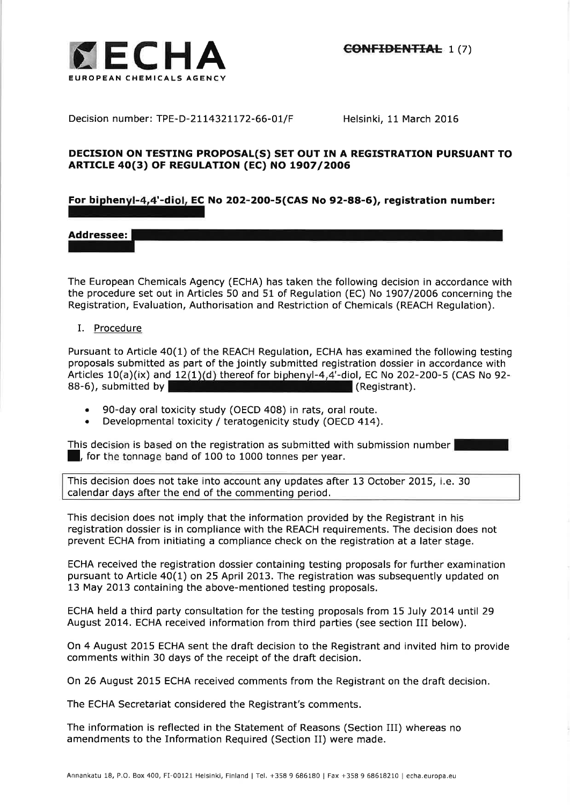

Decision number: TPE-D-2114321172-66-01/F Helsinki, 11 March 2016

## DECISION ON TESTING PROPOSAL(S) SET OUT IN A REGISTRATION PURSUANT TO ARTICLE 40(3) OF REGULATION (EC) NO 1907/2006

For biphenyl-4,4'-diol, EC No 202-200-5(CAS No 92-88-6), registration number:

# Addressee:

The European Chemicals Agency (ECHA) has taken the following decision in accordance with the procedure set out in Articles 50 and 51 of Regulation (EC) No L9O7/2006 concerning the Registration, Evaluation, Authorisation and Restriction of Chemicals (REACH Regulation).

I. Procedure

Pursuant to Article 40(1) of the REACH Regulation, ECHA has examined the following testing proposals submitted as part of the jointly submitted registration dossier in accordance with Articles 10(a)(ix) and 12(1)(d) thereof for biphenyl-4,4'-diol, EC No 202-200-5 (CAS No 92-88-6), submitted by (Registrant).

- . 90-day oral toxicity study (OECD 408) in rats, oral route.
- . Developmental toxicity / teratogenicity study (OECD 414).

This decision is based on the registration as submitted with submission number l, for the tonnage band of 10O to 1000 tonnes per year.

This decision does not take into account any updates after 13 October 2OI5, i.e. 30 calendar days after the end of the commenting period.

This decision does not imply that the information provided by the Registrant in his registration dossier is in compliance with the REACH requirements, The decision does not prevent ECHA from initiating a compliance check on the registration at a later stage.

ECHA received the registration dossier containing testing proposals for further examination pursuant to Article 40(1) on 25 April 2013. The registration was subsequently updated on 13 May 2013 containing the above-mentioned testing proposals.

ECHA held a third party consultation for the testing proposals from 15 July 2014 until 29 August 2014. ECHA received information from third parties (see section III below).

On 4 August 2015 ECHA sent the draft decision to the Registrant and invited him to provide comments within 30 days of the receipt of the draft decision.

On 26 August 2015 ECHA received comments from the Registrant on the draft decision.

The ECHA Secretariat considered the Registrant's comments.

The information is reflected in the Statement of Reasons (Section III) whereas no amendments to the Information Required (Section II) were made.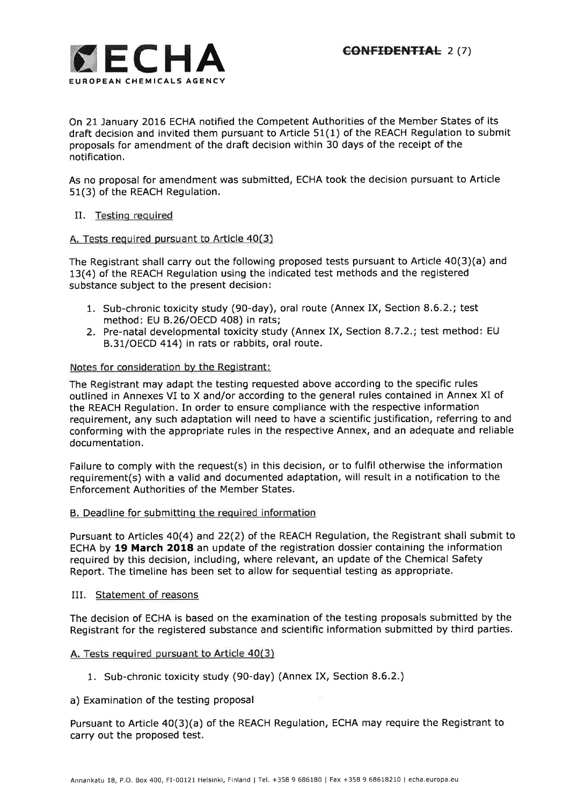

On 21 January 2016 ECHA notified the Competent Authorities of the Member States of its draft decision and invited them pursuant to Article 51(1) of the REACH Regulation to submit proposals for amendment of the draft decision within 30 days of the receipt of the notification.

As no proposal for amendment was submitted, ECHA took the decision pursuant to Article 51(3) of the REACH Regulation,

## IL Testing required

### A. Tests required pursuant to Article 40(3)

The Registrant shall carry out the following proposed tests pursuant to Article 40(3)(a) and 13(4) of the REACH Regulation using the indicated test methods and the registered substance subject to the present decision:

- 1. Sub-chronic toxicity study (90-day), oral route (Annex IX, Section 8.6.2.; test method: EU B.26|OECD 408) in rats;
- 2. Pre-natal developmental toxicity study (Annex IX, Section 8.7.2.; test method: EU 8.31/OECD 4I4) in rats or rabbits, oral route.

### Notes for consideration by the Registrant:

The Registrant may adapt the testing requested above according to the specific rules outlined in Annexes VI to X and/or according to the general rules contained in Annex XI of the REACH Regulation. In order to ensure compliance with the respective information requirement, any such adaptation will need to have a scientific justification, referring to and conforming with the appropriate rules in the respective Annex, and an adequate and reliable documentation.

Failure to comply with the request(s) in this decision, or to fulfil otherwise the information requirement(s) with a valid and documented adaptation, will result in a notification to the Enforcement Authorities of the Member States.

### B. Deadline for submitting the required information

Pursuant to Articles 4O(4) and 22(2) of the REACH Regulation, the Registrant shall submit to ECHA by 19 March 2018 an update of the registration dossier containing the information required by this decision, including, where relevant, an update of the Chemical Safety Report. The timeline has been set to allow for sequential testing as appropriate.

#### III. Statement of reasons

The decision of ECHA is based on the examination of the testing proposals submitted by the Registrant for the registered substance and scientific information submitted by third parties.

## A. Tests required pursuant to Article 40(3)

1. Sub-chronic toxicity study (90-day) (Annex IX, Section 8.6.2.)

#### a) Examination of the testing proposal

Pursuant to Article 40(3)(a) of the REACH Regulation, ECHA may require the Registrant to carry out the proposed test.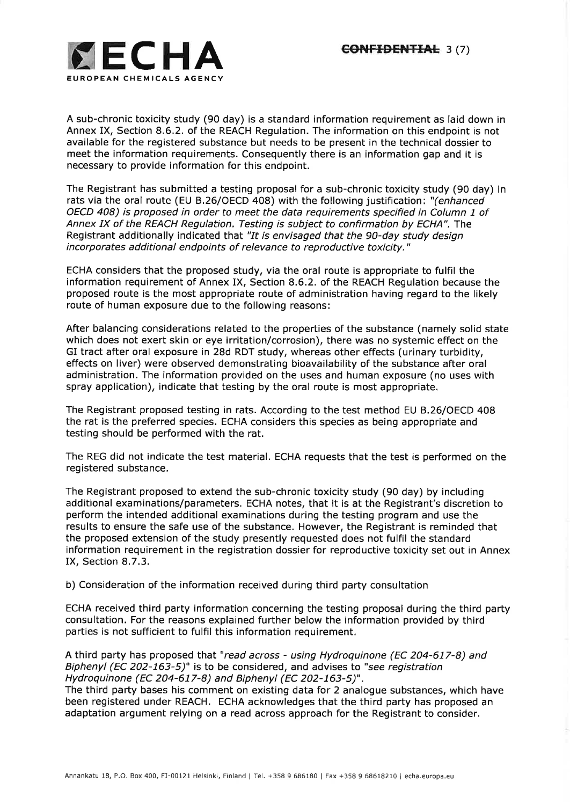

A sub-chronic toxicity study (90 day) is a standard information requirement as laid down in Annex IX, Section 8.6.2. of the REACH Regulation. The information on this endpoint is not available for the registered substance but needs to be present in the technical dossier to meet the information requirements. Consequently there is an information gap and it is necessary to provide information for this endpoint.

The Registrant has submitted a testing proposal for a sub-chronic toxicity study (90 day) in rats via the oral route (EU B.26/OECD 408) with the following justification: "(enhanced OECD 408) is proposed in order to meet the data requirements specified in Column 1 of Annex IX of the REACH Regulation. Testing is subject to confirmation by ECHA". The Registrant additionally indicated that "It is envisaged that the 90-day study design incorporates additional endpoints of relevance to reproductive toxicity."

ECHA considers that the proposed study, via the oral route is appropriate to fulfil the information requirement of Annex IX, Section 8.6.2. of the REACH Regulation because the proposed route is the most appropriate route of administration having regard to the likely route of human exposure due to the following reasons:

After balancing considerations related to the properties of the substance (namely solid state which does not exert skin or eye irritation/corrosion), there was no systemic effect on the GI tract after oral exposure in 2Bd RDT study, whereas other effects (urinary turbidity, effects on liver) were observed demonstrating bioavailability of the substance after oral administration. The information provided on the uses and human exposure (no uses with spray application), indicate that testing by the oral route is most appropriate.

The Registrant proposed testing in rats. According to the test method EU 8.26/OECD 408 the rat is the preferred species. ECHA considers this species as being appropriate and testing should be performed with the rat.

The REG did not indicate the test material. ECHA requests that the test is performed on the registered substance.

The Registrant proposed to extend the sub-chronic toxicity study (90 day) by including additional examinations/parameters. ECHA notes, that it is at the Registrant's discretion to perform the intended additional examinations during the testing program and use the results to ensure the safe use of the substance. However, the Registrant is reminded that the proposed extension of the study presently requested does not fulfil the standard information requirement in the registration dossier for reproductive toxicity set out in Annex IX, Section 8.7.3.

b) Consideration of the information received during third party consultation

ECHA received third party information concerning the testing proposal during the third party consultation. For the reasons explained further below the information provided by third parties is not sufficient to fulfil this information requirement.

A third party has proposed that "read across - using Hydroquinone (EC 204-617-8) and Biphenyl (EC 202-163-5)" is to be considered, and advises to "see registration Hydroquinone (EC 204-617-8) and Biphenyl (EC 202-163-5)".

The third party bases his comment on existing data for 2 analogue substances, which have been registered under REACH. ECHA acknowledges that the third party has proposed an adaptation argument relying on a read across approach for the Registrant to consider.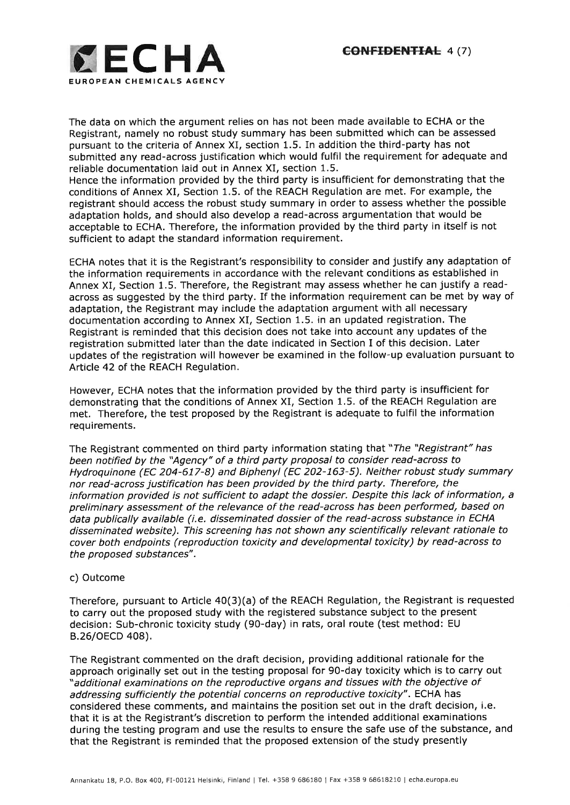

The data on which the argument relies on has not been made available to ECHA or the Registrant, namely no robust study summary has been submitted which can be assessed pursuant to the criteria of Annex XI, section 1.5. In addition the third-party has not submitted any read-across justification which would fulfil the requirement for adequate and reliable documentation laid out in Annex XI, section 1.5.

Hence the information provided by the third party is insufficient for demonstrating that the conditions of Annex XI, Section 1.5. of the REACH Regulation are met. For example, the registrant should access the robust study summary in order to assess whether the possible adaptation holds, and should also develop a read-across argumentation that would be acceptable to ECHA. Therefore, the information provided by the third party in itself is not sufficient to adapt the standard information requirement.

ECHA notes that it is the Registrant's responsibility to consider and justify any adaptation of the information requirements in accordance with the relevant conditions as established in Annex XI, Section 1.5. Therefore, the Registrant may assess whether he can justify a readacross as suggested by the third party. If the information requirement can be met by way of adaptation, the Registrant may include the adaptation argument with all necessary documentation according to Annex XI, Section 1.5. in an updated registration, The Registrant is reminded that this decision does not take into account any updates of the registration submitted later than the date indicated in Section I of this decision. Later updates of the registration will however be examined in the follow-up evaluation pursuant to Article 42 of the REACH Regulation.

However, ECHA notes that the information provided by the third party is insufficient for demonstrating that the conditions of Annex XI, Section 1.5. of the REACH Regulation are met. Therefore, the test proposed by the Registrant is adequate to fulfil the information requirements.

The Registrant commented on third party information stating that "The "Registrant" has been notified by the "Agency" of a third party proposal to consider read-across to Hydroquinone (EC 204-617-8) and Biphenyl (EC 202-163-5). Neither robust study summary nor read-across justification has been provided by the third party. Therefore, the information provided is not sufficient to adapt the dossier. Despite this lack of information, a preliminary assessment of the relevance of the read-across has been performed, based on data publically available (i.e. disseminated dossier of the read-across substance in ECHA disseminated website). This screening has not shown any scientifically relevant rationale to cover both endpoints (reproductíon toxicity and developmental toxicity) by read-across to the proposed substances".

## c) Outcome

Therefore, pursuant to Article 40(3)(a) of the REACH Regulation, the Registrant is requested to carry out the proposed study with the registered substance subject to the present decision: Sub-chronic toxicity study (90-day) in rats, oral route (test method: EU 8.26/OECD 408),

The Registrant commented on the draft decision, providing additional rationale for the approach originally set out in the testing proposal for 90-day toxicity which is to carry out "additional examinations on the reproductive organs and tissues with the objective of addressing sufficiently the potential concerns on reproductive toxicity". ECHA has considered these comments, and maintains the position set out in the draft decision, i.e. that it is at the Registrant's discretion to perform the intended additional examinations during the testing program and use the results to ensure the safe use of the substance, and that the Registrant is reminded that the proposed extension of the study presently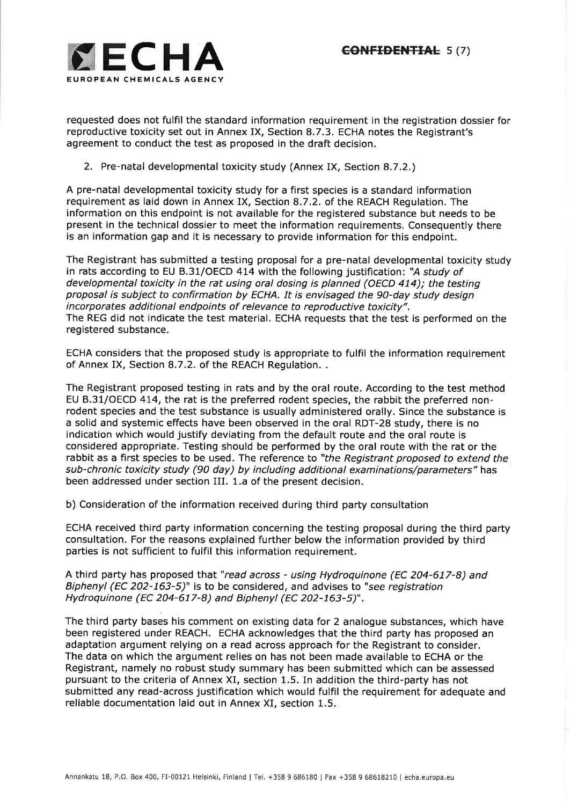

requested does not fulfil the standard information requirement in the registration dossier for reproductive toxicity set out in Annex IX, Section 8.7.3. ECHA notes the Registrant's agreement to conduct the test as proposed in the draft decision.

2. Pre-natal developmental toxicity study (Annex IX, Section 8.7.2.)

A pre-natal developmental toxicity study for a first species is a standard information requirement as laid down in Annex IX, Section 8.7.2. of the REACH Regulation, The information on this endpoint is not available for the registered substance but needs to be present in the technical dossier to meet the information requirements. Consequently there is an information gap and it is necessary to provide information for this endpoint.

The Registrant has submitted a testing proposal for a pre-natal developmental toxicity study in rats according to EU 8.31/OECD 414 with the following justification: "A study of developmental toxicity in the rat using oral dosing is planned (OECD 414); the testing proposal is subject to confirmation by ECHA. It is envisaged the 90-day study design incorporates additional endpoints of relevance to reproductive toxicity". The REG did not indicate the test material. ECHA requests that the test is performed on the registered substance.

ECHA considers that the proposed study is appropriate to fulfil the information requirement of Annex IX, Section 8.7.2. of the REACH Regulation. .

The Registrant proposed testing in rats and by the oral route. According to the test method EU 8,3I/OECD 4I4, the rat is the preferred rodent species, the rabbit the preferred nonrodent species and the test substance is usually administered orally. Since the substance is a solid and systemic effects have been observed in the oral RDT-28 study, there is no indication which would justify deviating from the default route and the oral route is considered appropriate. Testing should be performed by the oral route with the rat or the rabbit as a first species to be used. The reference to "the Registrant proposed to extend the sub-chronic toxicity study (90 day) by including additional examinations/paramefers" has been addressed under section III. 1.a of the present decision.

b) Consideration of the information received during third party consultation

ECHA received third party information concerning the testing proposal during the third party consultation. For the reasons explained further below the information provided by third parties is not sufficient to fulfil this information requirement.

A third party has proposed that "read across - using Hydroquinone (EC 204-617-8) and Biphenyl (EC 202-163-5)" is to be considered, and advises to "see registration Hydroquinone (EC 204-617-8) and Biphenyl (EC 202-163-5)".

The third party bases his comment on existing data for 2 analogue substances, which have been registered under REACH. ECHA acknowledges that the third party has proposed an adaptation argument relying on a read across approach for the Registrant to consider, The data on which the argument relies on has not been made available to ECHA or the Registrant, namely no robust study summary has been submitted which can be assessed pursuant to the criteria of Annex XI, section 1,5. In addition the third-party has not submitted any read-across justification which would fulfil the requirement for adequate and reliable documentation laid out in Annex XI, section 1.5.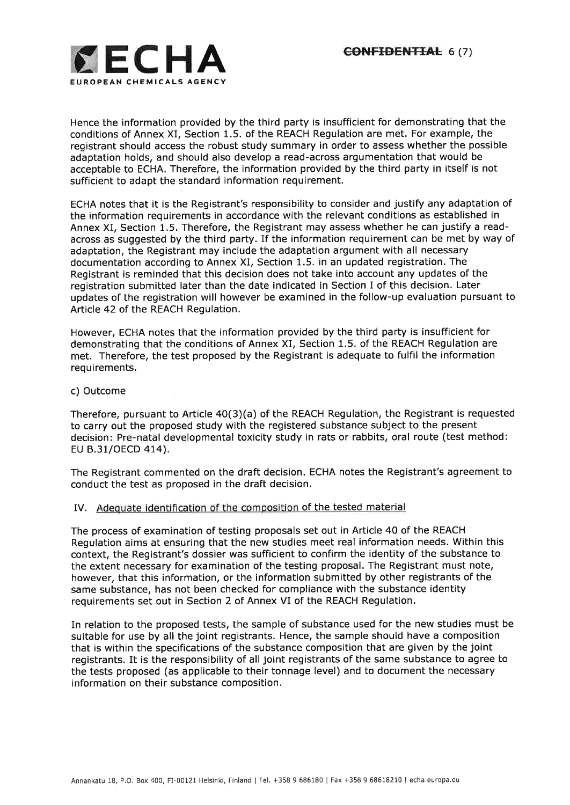

Hence the information provided by the third party is insufficient for demonstrating that the conditions of Annex XI, Section 1.5. of the REACH Regulation are met. For example, the registrant should access the robust study summary in order to assess whether the possible adaptation holds, and should also develop a read-across argumentation that would be acceptable to ECHA. Therefore, the information provided by the third party in itself is not sufficient to adapt the standard information requirement.

ECHA notes that it is the Registrant's responsibility to consider and justify any adaptation of the information requirements in accordance with the relevant conditions as established in Annex XI, Section 1.5. Therefore, the Registrant may assess whether he can justify a readacross as suggested by the third party. If the information requirement can be met by way of adaptation, the Registrant may include the adaptation argument with all necessary documentation according to Annex XI, Section 1.5. in an updated registration, The Registrant is reminded that this decision does not take into account any updates of the registration submitted later than the date indicated in Section I of this decision. Later updates of the registration will however be examined in the follow-up evaluation pursuant to Article 42 of the REACH Regulation.

However, ECHA notes that the information provided by the third party is insufficient for demonstrating that the conditions of Annex XI, Section 1.5. of the REACH Regulation are met. Therefore, the test proposed by the Registrant is adequate to fulfil the information requirements.

## c) Outcome

Therefore, pursuant to Article 40(3)(a) of the REACH Regulation, the Registrant is requested to carry out the proposed study with the registered substance subject to the present decision: Pre-natal developmental toxicity study in rats or rabbits, oral route (test method: EU B.31/OECD 414).

The Registrant commented on the draft decision. ECHA notes the Registrant's agreement to conduct the test as proposed in the draft decision,

#### IV. Adequate identification of the composition of the tested material

The process of examination of testing proposals set out in Article 40 of the REACH Regulation aims at ensuring that the new studies meet real information needs. Within this context, the Registrant's dossier was sufficient to confirm the identity of the substance to the extent necessary for examination of the testing proposal. The Registrant must note, however, that this information, or the information submitted by other registrants of the same substance, has not been checked for compliance with the substance identity requirements set out in Section 2 of Annex VI of the REACH Regulation.

In relation to the proposed tests, the sample of substance used for the new studies must be suitable for use by all the joint registrants, Hence, the sample should have a composition that is within the specifications of the substance composition that are given by the joint registrants. It is the responsibility of all joint registrants of the same substance to agree to the tests proposed (as applicable to their tonnage level) and to document the necessary information on their substance composition.